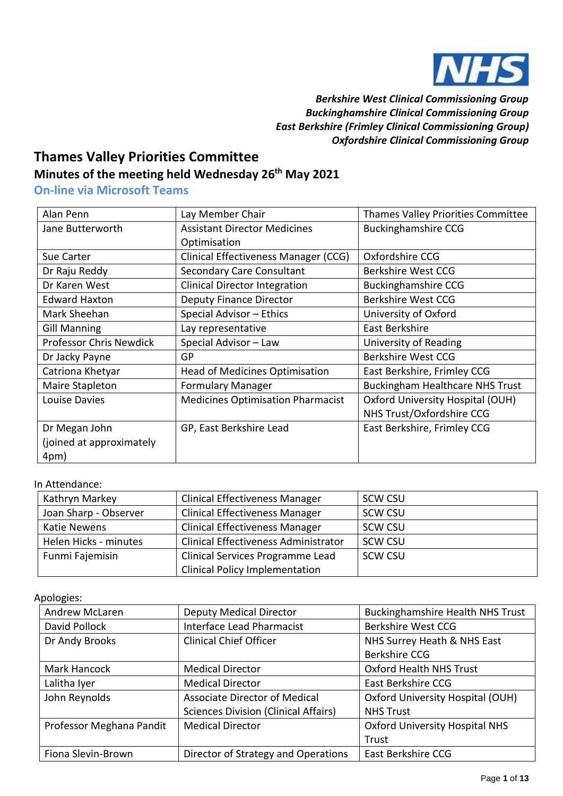

 *Berkshire West Clinical Commissioning Group Buckinghamshire Clinical Commissioning Group East Berkshire (Frimley Clinical Commissioning Group) Oxfordshire Clinical Commissioning Group*

## **Thames Valley Priorities Committee**

## **Minutes of the meeting held Wednesday 26th May 2021**

**On-line via Microsoft Teams**

| Alan Penn                      | Lay Member Chair                         | Thames Valley Priorities Committee     |
|--------------------------------|------------------------------------------|----------------------------------------|
| Jane Butterworth               | <b>Assistant Director Medicines</b>      | <b>Buckinghamshire CCG</b>             |
|                                | Optimisation                             |                                        |
| Sue Carter                     | Clinical Effectiveness Manager (CCG)     | Oxfordshire CCG                        |
| Dr Raju Reddy                  | <b>Secondary Care Consultant</b>         | Berkshire West CCG                     |
| Dr Karen West                  | <b>Clinical Director Integration</b>     | <b>Buckinghamshire CCG</b>             |
| <b>Edward Haxton</b>           | <b>Deputy Finance Director</b>           | Berkshire West CCG                     |
| Mark Sheehan                   | Special Advisor - Ethics                 | University of Oxford                   |
| <b>Gill Manning</b>            | Lay representative                       | East Berkshire                         |
| <b>Professor Chris Newdick</b> | Special Advisor - Law                    | University of Reading                  |
| Dr Jacky Payne                 | <b>GP</b>                                | Berkshire West CCG                     |
| Catriona Khetyar               | <b>Head of Medicines Optimisation</b>    | East Berkshire, Frimley CCG            |
| Maire Stapleton                | <b>Formulary Manager</b>                 | <b>Buckingham Healthcare NHS Trust</b> |
| Louise Davies                  | <b>Medicines Optimisation Pharmacist</b> | Oxford University Hospital (OUH)       |
|                                |                                          | NHS Trust/Oxfordshire CCG              |
| Dr Megan John                  | GP, East Berkshire Lead                  | East Berkshire, Frimley CCG            |
| (joined at approximately       |                                          |                                        |
| 4pm)                           |                                          |                                        |

## In Attendance:

| Kathryn Markey        | <b>Clinical Effectiveness Manager</b>       | <b>SCW CSU</b> |
|-----------------------|---------------------------------------------|----------------|
| Joan Sharp - Observer | <b>Clinical Effectiveness Manager</b>       | SCW CSU        |
| <b>Katie Newens</b>   | <b>Clinical Effectiveness Manager</b>       | <b>SCW CSU</b> |
| Helen Hicks - minutes | <b>Clinical Effectiveness Administrator</b> | SCW CSU        |
| Funmi Fajemisin       | Clinical Services Programme Lead            | <b>SCW CSU</b> |
|                       | <b>Clinical Policy Implementation</b>       |                |

Apologies:

| <b>Andrew McLaren</b>    | <b>Deputy Medical Director</b>              | <b>Buckinghamshire Health NHS Trust</b> |
|--------------------------|---------------------------------------------|-----------------------------------------|
| David Pollock            | <b>Interface Lead Pharmacist</b>            | <b>Berkshire West CCG</b>               |
| Dr Andy Brooks           | <b>Clinical Chief Officer</b>               | NHS Surrey Heath & NHS East             |
|                          |                                             | Berkshire CCG                           |
| Mark Hancock             | <b>Medical Director</b>                     | <b>Oxford Health NHS Trust</b>          |
| Lalitha Iyer             | <b>Medical Director</b>                     | East Berkshire CCG                      |
| John Reynolds            | Associate Director of Medical               | Oxford University Hospital (OUH)        |
|                          | <b>Sciences Division (Clinical Affairs)</b> | <b>NHS Trust</b>                        |
| Professor Meghana Pandit | <b>Medical Director</b>                     | <b>Oxford University Hospital NHS</b>   |
|                          |                                             | Trust                                   |
| Fiona Slevin-Brown       | Director of Strategy and Operations         | East Berkshire CCG                      |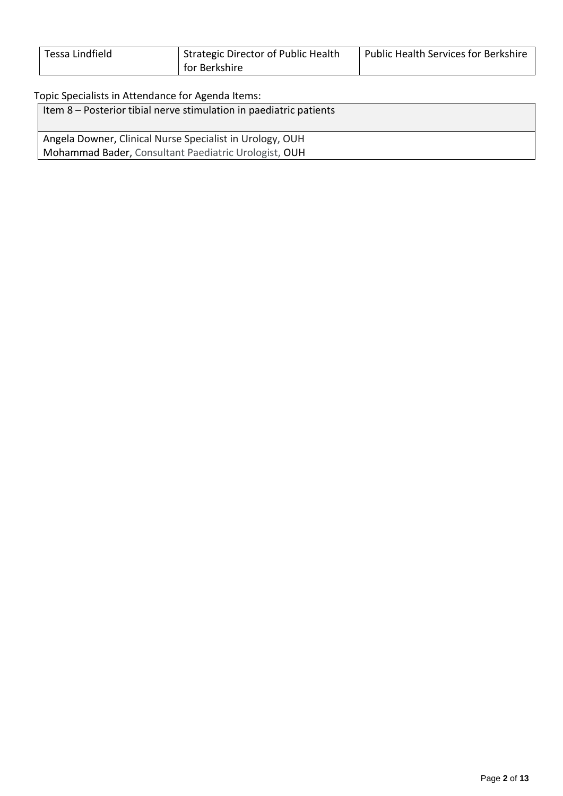| Tessa Lindfield | <sup>I</sup> Strategic Director of Public Health | <b>Public Health Services for Berkshire</b> |
|-----------------|--------------------------------------------------|---------------------------------------------|
|                 | for Berkshire                                    |                                             |

## Topic Specialists in Attendance for Agenda Items:

| Item 8 – Posterior tibial nerve stimulation in paediatric patients |
|--------------------------------------------------------------------|
| Angela Downer, Clinical Nurse Specialist in Urology, OUH           |
| Mohammad Bader, Consultant Paediatric Urologist, OUH               |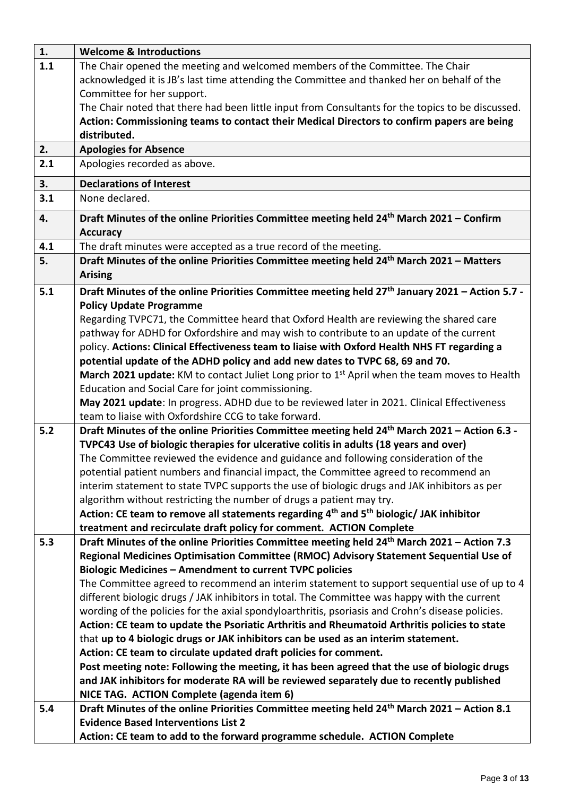| 1.  | <b>Welcome &amp; Introductions</b>                                                                             |
|-----|----------------------------------------------------------------------------------------------------------------|
| 1.1 | The Chair opened the meeting and welcomed members of the Committee. The Chair                                  |
|     | acknowledged it is JB's last time attending the Committee and thanked her on behalf of the                     |
|     | Committee for her support.                                                                                     |
|     | The Chair noted that there had been little input from Consultants for the topics to be discussed.              |
|     | Action: Commissioning teams to contact their Medical Directors to confirm papers are being                     |
|     | distributed.                                                                                                   |
| 2.  | <b>Apologies for Absence</b>                                                                                   |
| 2.1 | Apologies recorded as above.                                                                                   |
| 3.  | <b>Declarations of Interest</b>                                                                                |
| 3.1 | None declared.                                                                                                 |
|     |                                                                                                                |
| 4.  | Draft Minutes of the online Priorities Committee meeting held 24 <sup>th</sup> March 2021 - Confirm            |
|     | <b>Accuracy</b>                                                                                                |
| 4.1 | The draft minutes were accepted as a true record of the meeting.                                               |
| 5.  | Draft Minutes of the online Priorities Committee meeting held 24 <sup>th</sup> March 2021 - Matters            |
|     | <b>Arising</b>                                                                                                 |
| 5.1 | Draft Minutes of the online Priorities Committee meeting held 27 <sup>th</sup> January 2021 - Action 5.7 -     |
|     | <b>Policy Update Programme</b>                                                                                 |
|     | Regarding TVPC71, the Committee heard that Oxford Health are reviewing the shared care                         |
|     | pathway for ADHD for Oxfordshire and may wish to contribute to an update of the current                        |
|     | policy. Actions: Clinical Effectiveness team to liaise with Oxford Health NHS FT regarding a                   |
|     | potential update of the ADHD policy and add new dates to TVPC 68, 69 and 70.                                   |
|     | March 2021 update: KM to contact Juliet Long prior to 1 <sup>st</sup> April when the team moves to Health      |
|     | Education and Social Care for joint commissioning.                                                             |
|     | May 2021 update: In progress. ADHD due to be reviewed later in 2021. Clinical Effectiveness                    |
|     | team to liaise with Oxfordshire CCG to take forward.                                                           |
| 5.2 | Draft Minutes of the online Priorities Committee meeting held 24 <sup>th</sup> March 2021 - Action 6.3 -       |
|     | TVPC43 Use of biologic therapies for ulcerative colitis in adults (18 years and over)                          |
|     | The Committee reviewed the evidence and guidance and following consideration of the                            |
|     | potential patient numbers and financial impact, the Committee agreed to recommend an                           |
|     | interim statement to state TVPC supports the use of biologic drugs and JAK inhibitors as per                   |
|     | algorithm without restricting the number of drugs a patient may try.                                           |
|     | Action: CE team to remove all statements regarding 4 <sup>th</sup> and 5 <sup>th</sup> biologic/ JAK inhibitor |
|     | treatment and recirculate draft policy for comment. ACTION Complete                                            |
| 5.3 | Draft Minutes of the online Priorities Committee meeting held 24 <sup>th</sup> March 2021 - Action 7.3         |
|     | Regional Medicines Optimisation Committee (RMOC) Advisory Statement Sequential Use of                          |
|     | <b>Biologic Medicines - Amendment to current TVPC policies</b>                                                 |
|     | The Committee agreed to recommend an interim statement to support sequential use of up to 4                    |
|     | different biologic drugs / JAK inhibitors in total. The Committee was happy with the current                   |
|     | wording of the policies for the axial spondyloarthritis, psoriasis and Crohn's disease policies.               |
|     | Action: CE team to update the Psoriatic Arthritis and Rheumatoid Arthritis policies to state                   |
|     | that up to 4 biologic drugs or JAK inhibitors can be used as an interim statement.                             |
|     | Action: CE team to circulate updated draft policies for comment.                                               |
|     | Post meeting note: Following the meeting, it has been agreed that the use of biologic drugs                    |
|     | and JAK inhibitors for moderate RA will be reviewed separately due to recently published                       |
|     | NICE TAG. ACTION Complete (agenda item 6)                                                                      |
| 5.4 | Draft Minutes of the online Priorities Committee meeting held 24 <sup>th</sup> March 2021 - Action 8.1         |
|     | <b>Evidence Based Interventions List 2</b>                                                                     |
|     |                                                                                                                |
|     | Action: CE team to add to the forward programme schedule. ACTION Complete                                      |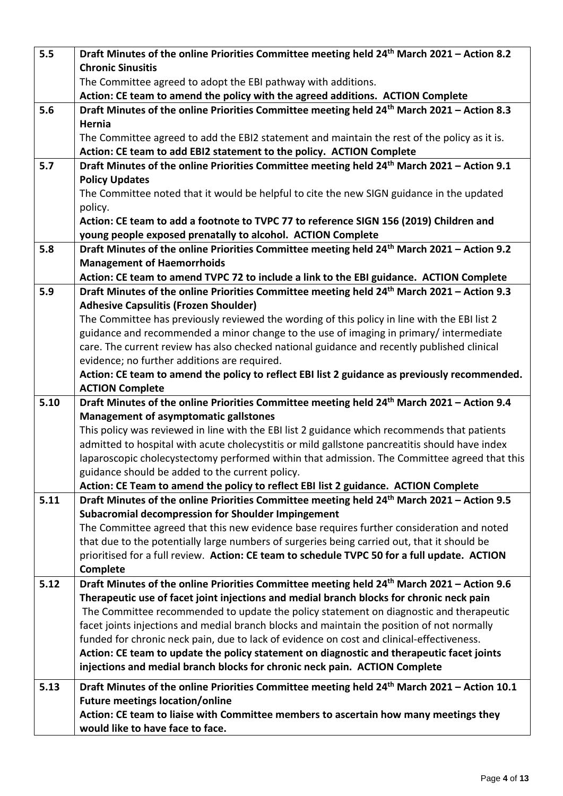| 5.5  | Draft Minutes of the online Priorities Committee meeting held 24 <sup>th</sup> March 2021 - Action 8.2  |
|------|---------------------------------------------------------------------------------------------------------|
|      | <b>Chronic Sinusitis</b>                                                                                |
|      | The Committee agreed to adopt the EBI pathway with additions.                                           |
|      | Action: CE team to amend the policy with the agreed additions. ACTION Complete                          |
| 5.6  | Draft Minutes of the online Priorities Committee meeting held 24 <sup>th</sup> March 2021 - Action 8.3  |
|      | Hernia                                                                                                  |
|      | The Committee agreed to add the EBI2 statement and maintain the rest of the policy as it is.            |
|      | Action: CE team to add EBI2 statement to the policy. ACTION Complete                                    |
| 5.7  | Draft Minutes of the online Priorities Committee meeting held 24 <sup>th</sup> March 2021 - Action 9.1  |
|      | <b>Policy Updates</b>                                                                                   |
|      | The Committee noted that it would be helpful to cite the new SIGN guidance in the updated               |
|      | policy.                                                                                                 |
|      | Action: CE team to add a footnote to TVPC 77 to reference SIGN 156 (2019) Children and                  |
|      | young people exposed prenatally to alcohol. ACTION Complete                                             |
| 5.8  | Draft Minutes of the online Priorities Committee meeting held 24 <sup>th</sup> March 2021 - Action 9.2  |
|      | <b>Management of Haemorrhoids</b>                                                                       |
|      | Action: CE team to amend TVPC 72 to include a link to the EBI guidance. ACTION Complete                 |
| 5.9  | Draft Minutes of the online Priorities Committee meeting held 24 <sup>th</sup> March 2021 - Action 9.3  |
|      | <b>Adhesive Capsulitis (Frozen Shoulder)</b>                                                            |
|      | The Committee has previously reviewed the wording of this policy in line with the EBI list 2            |
|      | guidance and recommended a minor change to the use of imaging in primary/intermediate                   |
|      | care. The current review has also checked national guidance and recently published clinical             |
|      | evidence; no further additions are required.                                                            |
|      | Action: CE team to amend the policy to reflect EBI list 2 guidance as previously recommended.           |
|      | <b>ACTION Complete</b>                                                                                  |
| 5.10 | Draft Minutes of the online Priorities Committee meeting held 24 <sup>th</sup> March 2021 - Action 9.4  |
|      | <b>Management of asymptomatic gallstones</b>                                                            |
|      | This policy was reviewed in line with the EBI list 2 guidance which recommends that patients            |
|      | admitted to hospital with acute cholecystitis or mild gallstone pancreatitis should have index          |
|      | laparoscopic cholecystectomy performed within that admission. The Committee agreed that this            |
|      | guidance should be added to the current policy.                                                         |
|      | Action: CE Team to amend the policy to reflect EBI list 2 guidance. ACTION Complete                     |
| 5.11 | Draft Minutes of the online Priorities Committee meeting held 24 <sup>th</sup> March 2021 - Action 9.5  |
|      | Subacromial decompression for Shoulder Impingement                                                      |
|      | The Committee agreed that this new evidence base requires further consideration and noted               |
|      | that due to the potentially large numbers of surgeries being carried out, that it should be             |
|      | prioritised for a full review. Action: CE team to schedule TVPC 50 for a full update. ACTION            |
|      | Complete                                                                                                |
| 5.12 | Draft Minutes of the online Priorities Committee meeting held 24 <sup>th</sup> March 2021 - Action 9.6  |
|      | Therapeutic use of facet joint injections and medial branch blocks for chronic neck pain                |
|      | The Committee recommended to update the policy statement on diagnostic and therapeutic                  |
|      | facet joints injections and medial branch blocks and maintain the position of not normally              |
|      | funded for chronic neck pain, due to lack of evidence on cost and clinical-effectiveness.               |
|      | Action: CE team to update the policy statement on diagnostic and therapeutic facet joints               |
|      | injections and medial branch blocks for chronic neck pain. ACTION Complete                              |
| 5.13 | Draft Minutes of the online Priorities Committee meeting held 24 <sup>th</sup> March 2021 - Action 10.1 |
|      | <b>Future meetings location/online</b>                                                                  |
|      | Action: CE team to liaise with Committee members to ascertain how many meetings they                    |
|      | would like to have face to face.                                                                        |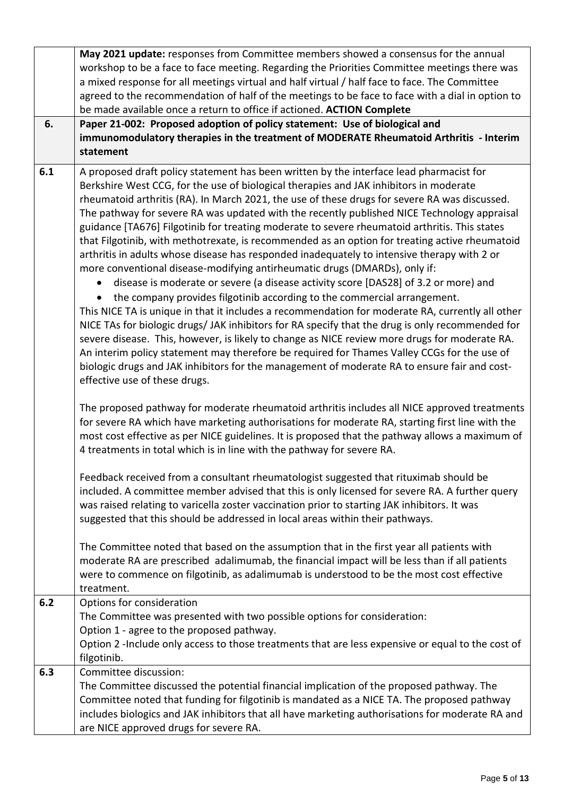|     | May 2021 update: responses from Committee members showed a consensus for the annual<br>workshop to be a face to face meeting. Regarding the Priorities Committee meetings there was<br>a mixed response for all meetings virtual and half virtual / half face to face. The Committee<br>agreed to the recommendation of half of the meetings to be face to face with a dial in option to<br>be made available once a return to office if actioned. ACTION Complete                                                                                                                                                                                                                                                                                                                                                                                                                                                                                                                                                                                                                                                                                                                                                                                                                                                                                                                                                                                                                        |
|-----|-------------------------------------------------------------------------------------------------------------------------------------------------------------------------------------------------------------------------------------------------------------------------------------------------------------------------------------------------------------------------------------------------------------------------------------------------------------------------------------------------------------------------------------------------------------------------------------------------------------------------------------------------------------------------------------------------------------------------------------------------------------------------------------------------------------------------------------------------------------------------------------------------------------------------------------------------------------------------------------------------------------------------------------------------------------------------------------------------------------------------------------------------------------------------------------------------------------------------------------------------------------------------------------------------------------------------------------------------------------------------------------------------------------------------------------------------------------------------------------------|
| 6.  | Paper 21-002: Proposed adoption of policy statement: Use of biological and<br>immunomodulatory therapies in the treatment of MODERATE Rheumatoid Arthritis - Interim<br>statement                                                                                                                                                                                                                                                                                                                                                                                                                                                                                                                                                                                                                                                                                                                                                                                                                                                                                                                                                                                                                                                                                                                                                                                                                                                                                                         |
| 6.1 | A proposed draft policy statement has been written by the interface lead pharmacist for<br>Berkshire West CCG, for the use of biological therapies and JAK inhibitors in moderate<br>rheumatoid arthritis (RA). In March 2021, the use of these drugs for severe RA was discussed.<br>The pathway for severe RA was updated with the recently published NICE Technology appraisal<br>guidance [TA676] Filgotinib for treating moderate to severe rheumatoid arthritis. This states<br>that Filgotinib, with methotrexate, is recommended as an option for treating active rheumatoid<br>arthritis in adults whose disease has responded inadequately to intensive therapy with 2 or<br>more conventional disease-modifying antirheumatic drugs (DMARDs), only if:<br>disease is moderate or severe (a disease activity score [DAS28] of 3.2 or more) and<br>the company provides filgotinib according to the commercial arrangement.<br>$\bullet$<br>This NICE TA is unique in that it includes a recommendation for moderate RA, currently all other<br>NICE TAs for biologic drugs/JAK inhibitors for RA specify that the drug is only recommended for<br>severe disease. This, however, is likely to change as NICE review more drugs for moderate RA.<br>An interim policy statement may therefore be required for Thames Valley CCGs for the use of<br>biologic drugs and JAK inhibitors for the management of moderate RA to ensure fair and cost-<br>effective use of these drugs. |
|     | The proposed pathway for moderate rheumatoid arthritis includes all NICE approved treatments<br>for severe RA which have marketing authorisations for moderate RA, starting first line with the<br>most cost effective as per NICE guidelines. It is proposed that the pathway allows a maximum of<br>4 treatments in total which is in line with the pathway for severe RA.                                                                                                                                                                                                                                                                                                                                                                                                                                                                                                                                                                                                                                                                                                                                                                                                                                                                                                                                                                                                                                                                                                              |
|     | Feedback received from a consultant rheumatologist suggested that rituximab should be<br>included. A committee member advised that this is only licensed for severe RA. A further query<br>was raised relating to varicella zoster vaccination prior to starting JAK inhibitors. It was<br>suggested that this should be addressed in local areas within their pathways.                                                                                                                                                                                                                                                                                                                                                                                                                                                                                                                                                                                                                                                                                                                                                                                                                                                                                                                                                                                                                                                                                                                  |
|     | The Committee noted that based on the assumption that in the first year all patients with<br>moderate RA are prescribed adalimumab, the financial impact will be less than if all patients<br>were to commence on filgotinib, as adalimumab is understood to be the most cost effective<br>treatment.                                                                                                                                                                                                                                                                                                                                                                                                                                                                                                                                                                                                                                                                                                                                                                                                                                                                                                                                                                                                                                                                                                                                                                                     |
| 6.2 | Options for consideration<br>The Committee was presented with two possible options for consideration:<br>Option 1 - agree to the proposed pathway.<br>Option 2 -Include only access to those treatments that are less expensive or equal to the cost of<br>filgotinib.                                                                                                                                                                                                                                                                                                                                                                                                                                                                                                                                                                                                                                                                                                                                                                                                                                                                                                                                                                                                                                                                                                                                                                                                                    |
| 6.3 | Committee discussion:<br>The Committee discussed the potential financial implication of the proposed pathway. The<br>Committee noted that funding for filgotinib is mandated as a NICE TA. The proposed pathway<br>includes biologics and JAK inhibitors that all have marketing authorisations for moderate RA and<br>are NICE approved drugs for severe RA.                                                                                                                                                                                                                                                                                                                                                                                                                                                                                                                                                                                                                                                                                                                                                                                                                                                                                                                                                                                                                                                                                                                             |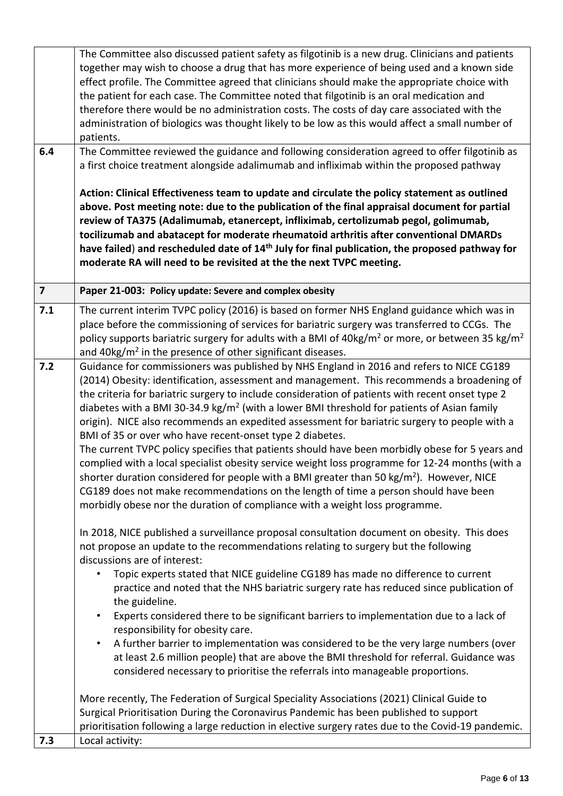|                         | The Committee also discussed patient safety as filgotinib is a new drug. Clinicians and patients                      |
|-------------------------|-----------------------------------------------------------------------------------------------------------------------|
|                         | together may wish to choose a drug that has more experience of being used and a known side                            |
|                         | effect profile. The Committee agreed that clinicians should make the appropriate choice with                          |
|                         | the patient for each case. The Committee noted that filgotinib is an oral medication and                              |
|                         |                                                                                                                       |
|                         | therefore there would be no administration costs. The costs of day care associated with the                           |
|                         | administration of biologics was thought likely to be low as this would affect a small number of                       |
|                         | patients.                                                                                                             |
| 6.4                     | The Committee reviewed the guidance and following consideration agreed to offer filgotinib as                         |
|                         | a first choice treatment alongside adalimumab and infliximab within the proposed pathway                              |
|                         |                                                                                                                       |
|                         | Action: Clinical Effectiveness team to update and circulate the policy statement as outlined                          |
|                         |                                                                                                                       |
|                         | above. Post meeting note: due to the publication of the final appraisal document for partial                          |
|                         | review of TA375 (Adalimumab, etanercept, infliximab, certolizumab pegol, golimumab,                                   |
|                         | tocilizumab and abatacept for moderate rheumatoid arthritis after conventional DMARDs                                 |
|                         | have failed) and rescheduled date of 14 <sup>th</sup> July for final publication, the proposed pathway for            |
|                         | moderate RA will need to be revisited at the the next TVPC meeting.                                                   |
|                         |                                                                                                                       |
| $\overline{\mathbf{z}}$ | Paper 21-003: Policy update: Severe and complex obesity                                                               |
| 7.1                     | The current interim TVPC policy (2016) is based on former NHS England guidance which was in                           |
|                         | place before the commissioning of services for bariatric surgery was transferred to CCGs. The                         |
|                         | policy supports bariatric surgery for adults with a BMI of $40\text{kg/m}^2$ or more, or between 35 kg/m <sup>2</sup> |
|                         | and $40\text{kg/m}^2$ in the presence of other significant diseases.                                                  |
| 7.2                     | Guidance for commissioners was published by NHS England in 2016 and refers to NICE CG189                              |
|                         |                                                                                                                       |
|                         | (2014) Obesity: identification, assessment and management. This recommends a broadening of                            |
|                         | the criteria for bariatric surgery to include consideration of patients with recent onset type 2                      |
|                         | diabetes with a BMI 30-34.9 kg/ $m^2$ (with a lower BMI threshold for patients of Asian family                        |
|                         | origin). NICE also recommends an expedited assessment for bariatric surgery to people with a                          |
|                         | BMI of 35 or over who have recent-onset type 2 diabetes.                                                              |
|                         | The current TVPC policy specifies that patients should have been morbidly obese for 5 years and                       |
|                         | complied with a local specialist obesity service weight loss programme for 12-24 months (with a                       |
|                         | shorter duration considered for people with a BMI greater than 50 kg/m <sup>2</sup> ). However, NICE                  |
|                         |                                                                                                                       |
|                         | CG189 does not make recommendations on the length of time a person should have been                                   |
|                         | morbidly obese nor the duration of compliance with a weight loss programme.                                           |
|                         |                                                                                                                       |
|                         | In 2018, NICE published a surveillance proposal consultation document on obesity. This does                           |
|                         | not propose an update to the recommendations relating to surgery but the following                                    |
|                         | discussions are of interest:                                                                                          |
|                         | Topic experts stated that NICE guideline CG189 has made no difference to current                                      |
|                         | practice and noted that the NHS bariatric surgery rate has reduced since publication of                               |
|                         | the guideline.                                                                                                        |
|                         | Experts considered there to be significant barriers to implementation due to a lack of                                |
|                         | responsibility for obesity care.                                                                                      |
|                         |                                                                                                                       |
|                         | A further barrier to implementation was considered to be the very large numbers (over                                 |
|                         | at least 2.6 million people) that are above the BMI threshold for referral. Guidance was                              |
|                         | considered necessary to prioritise the referrals into manageable proportions.                                         |
|                         |                                                                                                                       |
|                         | More recently, The Federation of Surgical Speciality Associations (2021) Clinical Guide to                            |
|                         | Surgical Prioritisation During the Coronavirus Pandemic has been published to support                                 |
|                         | prioritisation following a large reduction in elective surgery rates due to the Covid-19 pandemic.                    |
| 7.3                     | Local activity:                                                                                                       |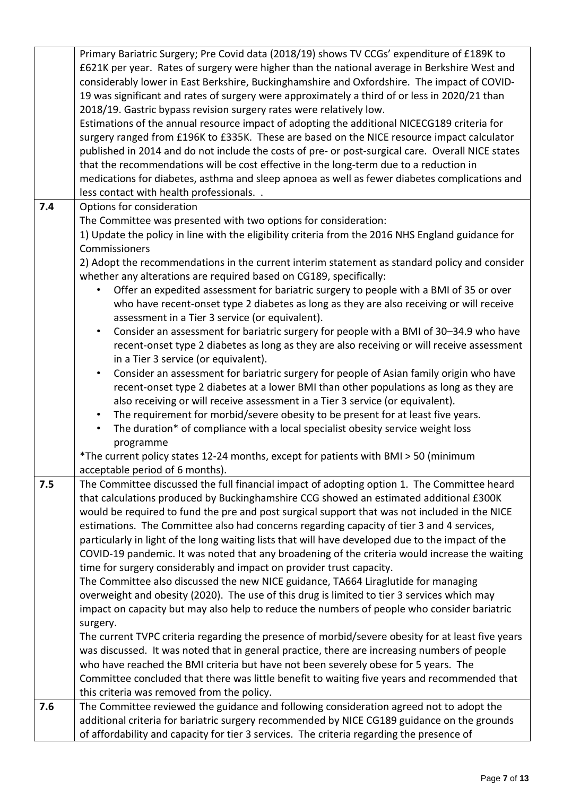|     | Primary Bariatric Surgery; Pre Covid data (2018/19) shows TV CCGs' expenditure of £189K to<br>£621K per year. Rates of surgery were higher than the national average in Berkshire West and<br>considerably lower in East Berkshire, Buckinghamshire and Oxfordshire. The impact of COVID-<br>19 was significant and rates of surgery were approximately a third of or less in 2020/21 than<br>2018/19. Gastric bypass revision surgery rates were relatively low.<br>Estimations of the annual resource impact of adopting the additional NICECG189 criteria for<br>surgery ranged from £196K to £335K. These are based on the NICE resource impact calculator<br>published in 2014 and do not include the costs of pre- or post-surgical care. Overall NICE states<br>that the recommendations will be cost effective in the long-term due to a reduction in<br>medications for diabetes, asthma and sleep apnoea as well as fewer diabetes complications and<br>less contact with health professionals |
|-----|----------------------------------------------------------------------------------------------------------------------------------------------------------------------------------------------------------------------------------------------------------------------------------------------------------------------------------------------------------------------------------------------------------------------------------------------------------------------------------------------------------------------------------------------------------------------------------------------------------------------------------------------------------------------------------------------------------------------------------------------------------------------------------------------------------------------------------------------------------------------------------------------------------------------------------------------------------------------------------------------------------|
| 7.4 | Options for consideration                                                                                                                                                                                                                                                                                                                                                                                                                                                                                                                                                                                                                                                                                                                                                                                                                                                                                                                                                                                |
|     | The Committee was presented with two options for consideration:                                                                                                                                                                                                                                                                                                                                                                                                                                                                                                                                                                                                                                                                                                                                                                                                                                                                                                                                          |
|     | 1) Update the policy in line with the eligibility criteria from the 2016 NHS England guidance for<br>Commissioners                                                                                                                                                                                                                                                                                                                                                                                                                                                                                                                                                                                                                                                                                                                                                                                                                                                                                       |
|     | 2) Adopt the recommendations in the current interim statement as standard policy and consider                                                                                                                                                                                                                                                                                                                                                                                                                                                                                                                                                                                                                                                                                                                                                                                                                                                                                                            |
|     | whether any alterations are required based on CG189, specifically:                                                                                                                                                                                                                                                                                                                                                                                                                                                                                                                                                                                                                                                                                                                                                                                                                                                                                                                                       |
|     | Offer an expedited assessment for bariatric surgery to people with a BMI of 35 or over                                                                                                                                                                                                                                                                                                                                                                                                                                                                                                                                                                                                                                                                                                                                                                                                                                                                                                                   |
|     | who have recent-onset type 2 diabetes as long as they are also receiving or will receive                                                                                                                                                                                                                                                                                                                                                                                                                                                                                                                                                                                                                                                                                                                                                                                                                                                                                                                 |
|     | assessment in a Tier 3 service (or equivalent).<br>Consider an assessment for bariatric surgery for people with a BMI of 30-34.9 who have<br>$\bullet$                                                                                                                                                                                                                                                                                                                                                                                                                                                                                                                                                                                                                                                                                                                                                                                                                                                   |
|     | recent-onset type 2 diabetes as long as they are also receiving or will receive assessment                                                                                                                                                                                                                                                                                                                                                                                                                                                                                                                                                                                                                                                                                                                                                                                                                                                                                                               |
|     | in a Tier 3 service (or equivalent).                                                                                                                                                                                                                                                                                                                                                                                                                                                                                                                                                                                                                                                                                                                                                                                                                                                                                                                                                                     |
|     | Consider an assessment for bariatric surgery for people of Asian family origin who have<br>$\bullet$                                                                                                                                                                                                                                                                                                                                                                                                                                                                                                                                                                                                                                                                                                                                                                                                                                                                                                     |
|     | recent-onset type 2 diabetes at a lower BMI than other populations as long as they are                                                                                                                                                                                                                                                                                                                                                                                                                                                                                                                                                                                                                                                                                                                                                                                                                                                                                                                   |
|     | also receiving or will receive assessment in a Tier 3 service (or equivalent).                                                                                                                                                                                                                                                                                                                                                                                                                                                                                                                                                                                                                                                                                                                                                                                                                                                                                                                           |
|     | The requirement for morbid/severe obesity to be present for at least five years.<br>$\bullet$<br>The duration* of compliance with a local specialist obesity service weight loss<br>$\bullet$                                                                                                                                                                                                                                                                                                                                                                                                                                                                                                                                                                                                                                                                                                                                                                                                            |
|     | programme                                                                                                                                                                                                                                                                                                                                                                                                                                                                                                                                                                                                                                                                                                                                                                                                                                                                                                                                                                                                |
|     | *The current policy states 12-24 months, except for patients with BMI > 50 (minimum                                                                                                                                                                                                                                                                                                                                                                                                                                                                                                                                                                                                                                                                                                                                                                                                                                                                                                                      |
|     | acceptable period of 6 months).                                                                                                                                                                                                                                                                                                                                                                                                                                                                                                                                                                                                                                                                                                                                                                                                                                                                                                                                                                          |
| 7.5 | The Committee discussed the full financial impact of adopting option 1. The Committee heard                                                                                                                                                                                                                                                                                                                                                                                                                                                                                                                                                                                                                                                                                                                                                                                                                                                                                                              |
|     | that calculations produced by Buckinghamshire CCG showed an estimated additional £300K                                                                                                                                                                                                                                                                                                                                                                                                                                                                                                                                                                                                                                                                                                                                                                                                                                                                                                                   |
|     | would be required to fund the pre and post surgical support that was not included in the NICE<br>estimations. The Committee also had concerns regarding capacity of tier 3 and 4 services,                                                                                                                                                                                                                                                                                                                                                                                                                                                                                                                                                                                                                                                                                                                                                                                                               |
|     | particularly in light of the long waiting lists that will have developed due to the impact of the                                                                                                                                                                                                                                                                                                                                                                                                                                                                                                                                                                                                                                                                                                                                                                                                                                                                                                        |
|     | COVID-19 pandemic. It was noted that any broadening of the criteria would increase the waiting                                                                                                                                                                                                                                                                                                                                                                                                                                                                                                                                                                                                                                                                                                                                                                                                                                                                                                           |
|     | time for surgery considerably and impact on provider trust capacity.                                                                                                                                                                                                                                                                                                                                                                                                                                                                                                                                                                                                                                                                                                                                                                                                                                                                                                                                     |
|     | The Committee also discussed the new NICE guidance, TA664 Liraglutide for managing                                                                                                                                                                                                                                                                                                                                                                                                                                                                                                                                                                                                                                                                                                                                                                                                                                                                                                                       |
|     | overweight and obesity (2020). The use of this drug is limited to tier 3 services which may                                                                                                                                                                                                                                                                                                                                                                                                                                                                                                                                                                                                                                                                                                                                                                                                                                                                                                              |
|     | impact on capacity but may also help to reduce the numbers of people who consider bariatric                                                                                                                                                                                                                                                                                                                                                                                                                                                                                                                                                                                                                                                                                                                                                                                                                                                                                                              |
|     | surgery.<br>The current TVPC criteria regarding the presence of morbid/severe obesity for at least five years                                                                                                                                                                                                                                                                                                                                                                                                                                                                                                                                                                                                                                                                                                                                                                                                                                                                                            |
|     | was discussed. It was noted that in general practice, there are increasing numbers of people                                                                                                                                                                                                                                                                                                                                                                                                                                                                                                                                                                                                                                                                                                                                                                                                                                                                                                             |
|     | who have reached the BMI criteria but have not been severely obese for 5 years. The                                                                                                                                                                                                                                                                                                                                                                                                                                                                                                                                                                                                                                                                                                                                                                                                                                                                                                                      |
|     | Committee concluded that there was little benefit to waiting five years and recommended that                                                                                                                                                                                                                                                                                                                                                                                                                                                                                                                                                                                                                                                                                                                                                                                                                                                                                                             |
|     | this criteria was removed from the policy.                                                                                                                                                                                                                                                                                                                                                                                                                                                                                                                                                                                                                                                                                                                                                                                                                                                                                                                                                               |
| 7.6 | The Committee reviewed the guidance and following consideration agreed not to adopt the                                                                                                                                                                                                                                                                                                                                                                                                                                                                                                                                                                                                                                                                                                                                                                                                                                                                                                                  |
|     | additional criteria for bariatric surgery recommended by NICE CG189 guidance on the grounds                                                                                                                                                                                                                                                                                                                                                                                                                                                                                                                                                                                                                                                                                                                                                                                                                                                                                                              |
|     | of affordability and capacity for tier 3 services. The criteria regarding the presence of                                                                                                                                                                                                                                                                                                                                                                                                                                                                                                                                                                                                                                                                                                                                                                                                                                                                                                                |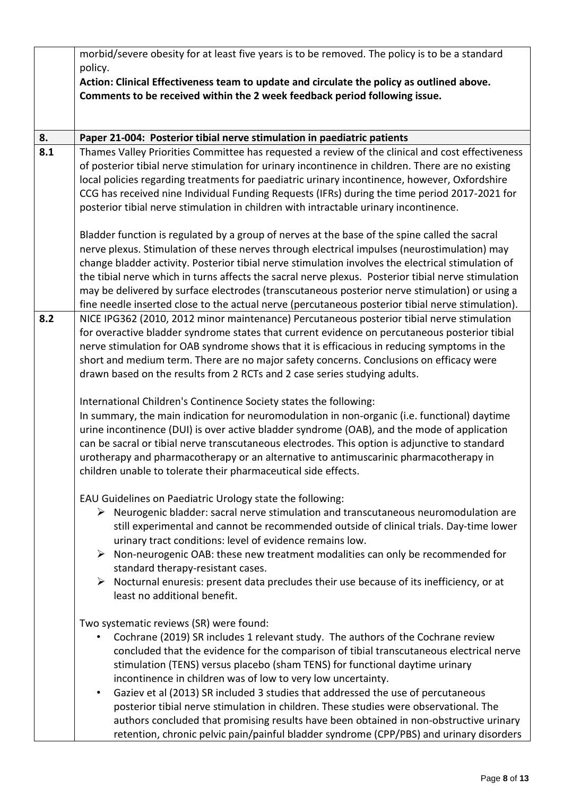|     | morbid/severe obesity for at least five years is to be removed. The policy is to be a standard<br>policy.<br>Action: Clinical Effectiveness team to update and circulate the policy as outlined above.<br>Comments to be received within the 2 week feedback period following issue.                                                                                                                                                                                                                                                                                                                                                                                                                                                                   |
|-----|--------------------------------------------------------------------------------------------------------------------------------------------------------------------------------------------------------------------------------------------------------------------------------------------------------------------------------------------------------------------------------------------------------------------------------------------------------------------------------------------------------------------------------------------------------------------------------------------------------------------------------------------------------------------------------------------------------------------------------------------------------|
| 8.  | Paper 21-004: Posterior tibial nerve stimulation in paediatric patients                                                                                                                                                                                                                                                                                                                                                                                                                                                                                                                                                                                                                                                                                |
| 8.1 | Thames Valley Priorities Committee has requested a review of the clinical and cost effectiveness<br>of posterior tibial nerve stimulation for urinary incontinence in children. There are no existing<br>local policies regarding treatments for paediatric urinary incontinence, however, Oxfordshire<br>CCG has received nine Individual Funding Requests (IFRs) during the time period 2017-2021 for<br>posterior tibial nerve stimulation in children with intractable urinary incontinence.                                                                                                                                                                                                                                                       |
|     | Bladder function is regulated by a group of nerves at the base of the spine called the sacral<br>nerve plexus. Stimulation of these nerves through electrical impulses (neurostimulation) may<br>change bladder activity. Posterior tibial nerve stimulation involves the electrical stimulation of<br>the tibial nerve which in turns affects the sacral nerve plexus. Posterior tibial nerve stimulation<br>may be delivered by surface electrodes (transcutaneous posterior nerve stimulation) or using a<br>fine needle inserted close to the actual nerve (percutaneous posterior tibial nerve stimulation).                                                                                                                                      |
| 8.2 | NICE IPG362 (2010, 2012 minor maintenance) Percutaneous posterior tibial nerve stimulation<br>for overactive bladder syndrome states that current evidence on percutaneous posterior tibial<br>nerve stimulation for OAB syndrome shows that it is efficacious in reducing symptoms in the<br>short and medium term. There are no major safety concerns. Conclusions on efficacy were<br>drawn based on the results from 2 RCTs and 2 case series studying adults.<br>International Children's Continence Society states the following:<br>In summary, the main indication for neuromodulation in non-organic (i.e. functional) daytime                                                                                                                |
|     | urine incontinence (DUI) is over active bladder syndrome (OAB), and the mode of application<br>can be sacral or tibial nerve transcutaneous electrodes. This option is adjunctive to standard<br>urotherapy and pharmacotherapy or an alternative to antimuscarinic pharmacotherapy in<br>children unable to tolerate their pharmaceutical side effects.                                                                                                                                                                                                                                                                                                                                                                                               |
|     | EAU Guidelines on Paediatric Urology state the following:<br>$\triangleright$ Neurogenic bladder: sacral nerve stimulation and transcutaneous neuromodulation are<br>still experimental and cannot be recommended outside of clinical trials. Day-time lower<br>urinary tract conditions: level of evidence remains low.<br>$\triangleright$ Non-neurogenic OAB: these new treatment modalities can only be recommended for<br>standard therapy-resistant cases.<br>$\triangleright$ Nocturnal enuresis: present data precludes their use because of its inefficiency, or at<br>least no additional benefit.                                                                                                                                           |
|     | Two systematic reviews (SR) were found:<br>Cochrane (2019) SR includes 1 relevant study. The authors of the Cochrane review<br>concluded that the evidence for the comparison of tibial transcutaneous electrical nerve<br>stimulation (TENS) versus placebo (sham TENS) for functional daytime urinary<br>incontinence in children was of low to very low uncertainty.<br>Gaziev et al (2013) SR included 3 studies that addressed the use of percutaneous<br>$\bullet$<br>posterior tibial nerve stimulation in children. These studies were observational. The<br>authors concluded that promising results have been obtained in non-obstructive urinary<br>retention, chronic pelvic pain/painful bladder syndrome (CPP/PBS) and urinary disorders |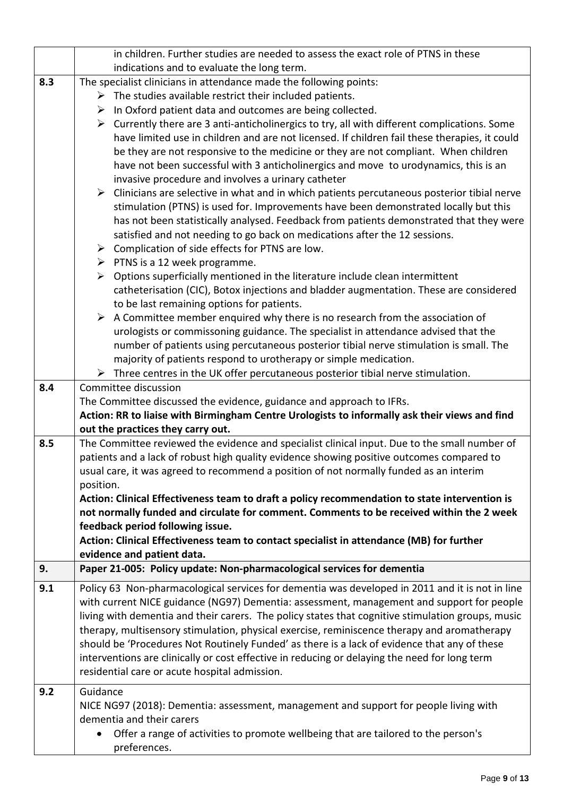|     | in children. Further studies are needed to assess the exact role of PTNS in these                           |  |
|-----|-------------------------------------------------------------------------------------------------------------|--|
|     | indications and to evaluate the long term.                                                                  |  |
| 8.3 | The specialist clinicians in attendance made the following points:                                          |  |
|     | $\triangleright$ The studies available restrict their included patients.                                    |  |
|     | In Oxford patient data and outcomes are being collected.<br>➤                                               |  |
|     | $\triangleright$ Currently there are 3 anti-anticholinergics to try, all with different complications. Some |  |
|     | have limited use in children and are not licensed. If children fail these therapies, it could               |  |
|     | be they are not responsive to the medicine or they are not compliant. When children                         |  |
|     | have not been successful with 3 anticholinergics and move to urodynamics, this is an                        |  |
|     | invasive procedure and involves a urinary catheter                                                          |  |
|     | $\triangleright$ Clinicians are selective in what and in which patients percutaneous posterior tibial nerve |  |
|     | stimulation (PTNS) is used for. Improvements have been demonstrated locally but this                        |  |
|     | has not been statistically analysed. Feedback from patients demonstrated that they were                     |  |
|     | satisfied and not needing to go back on medications after the 12 sessions.                                  |  |
|     | $\triangleright$ Complication of side effects for PTNS are low.                                             |  |
|     | $\triangleright$ PTNS is a 12 week programme.                                                               |  |
|     | Options superficially mentioned in the literature include clean intermittent<br>➤                           |  |
|     | catheterisation (CIC), Botox injections and bladder augmentation. These are considered                      |  |
|     | to be last remaining options for patients.                                                                  |  |
|     | A Committee member enquired why there is no research from the association of<br>➤                           |  |
|     | urologists or commissoning guidance. The specialist in attendance advised that the                          |  |
|     | number of patients using percutaneous posterior tibial nerve stimulation is small. The                      |  |
|     | majority of patients respond to urotherapy or simple medication.                                            |  |
|     | $\triangleright$ Three centres in the UK offer percutaneous posterior tibial nerve stimulation.             |  |
| 8.4 | Committee discussion                                                                                        |  |
|     | The Committee discussed the evidence, guidance and approach to IFRs.                                        |  |
|     | Action: RR to liaise with Birmingham Centre Urologists to informally ask their views and find               |  |
|     | out the practices they carry out.                                                                           |  |
| 8.5 | The Committee reviewed the evidence and specialist clinical input. Due to the small number of               |  |
|     | patients and a lack of robust high quality evidence showing positive outcomes compared to                   |  |
|     | usual care, it was agreed to recommend a position of not normally funded as an interim                      |  |
|     | position.                                                                                                   |  |
|     | Action: Clinical Effectiveness team to draft a policy recommendation to state intervention is               |  |
|     | not normally funded and circulate for comment. Comments to be received within the 2 week                    |  |
|     | feedback period following issue.                                                                            |  |
|     | Action: Clinical Effectiveness team to contact specialist in attendance (MB) for further                    |  |
|     | evidence and patient data.                                                                                  |  |
| 9.  | Paper 21-005: Policy update: Non-pharmacological services for dementia                                      |  |
| 9.1 | Policy 63 Non-pharmacological services for dementia was developed in 2011 and it is not in line             |  |
|     | with current NICE guidance (NG97) Dementia: assessment, management and support for people                   |  |
|     | living with dementia and their carers. The policy states that cognitive stimulation groups, music           |  |
|     | therapy, multisensory stimulation, physical exercise, reminiscence therapy and aromatherapy                 |  |
|     | should be 'Procedures Not Routinely Funded' as there is a lack of evidence that any of these                |  |
|     | interventions are clinically or cost effective in reducing or delaying the need for long term               |  |
|     | residential care or acute hospital admission.                                                               |  |
| 9.2 | Guidance                                                                                                    |  |
|     | NICE NG97 (2018): Dementia: assessment, management and support for people living with                       |  |
|     | dementia and their carers                                                                                   |  |
|     | Offer a range of activities to promote wellbeing that are tailored to the person's                          |  |
|     | preferences.                                                                                                |  |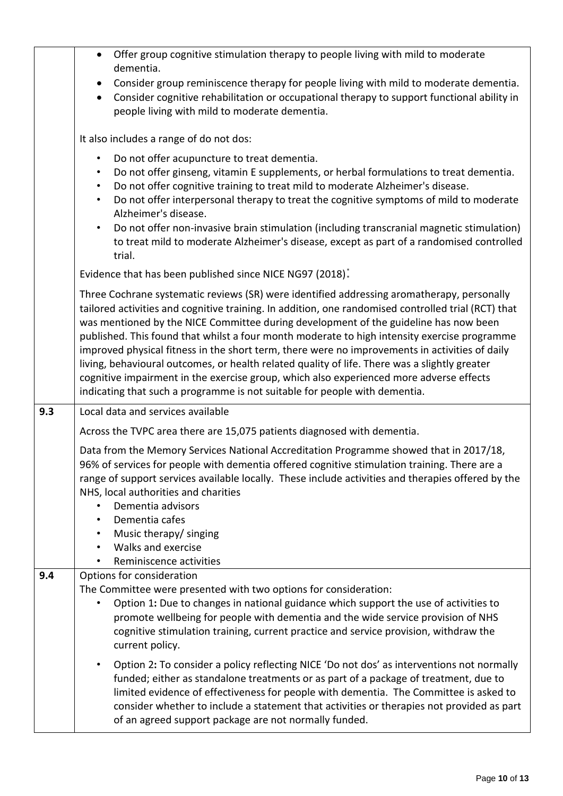|     | Offer group cognitive stimulation therapy to people living with mild to moderate<br>$\bullet$<br>dementia.                                                                                                                                                                                                                                                                                                                                                                                                                                                                                                                                                                                                                                                            |
|-----|-----------------------------------------------------------------------------------------------------------------------------------------------------------------------------------------------------------------------------------------------------------------------------------------------------------------------------------------------------------------------------------------------------------------------------------------------------------------------------------------------------------------------------------------------------------------------------------------------------------------------------------------------------------------------------------------------------------------------------------------------------------------------|
|     | Consider group reminiscence therapy for people living with mild to moderate dementia.<br>$\bullet$<br>Consider cognitive rehabilitation or occupational therapy to support functional ability in<br>$\bullet$<br>people living with mild to moderate dementia.                                                                                                                                                                                                                                                                                                                                                                                                                                                                                                        |
|     | It also includes a range of do not dos:                                                                                                                                                                                                                                                                                                                                                                                                                                                                                                                                                                                                                                                                                                                               |
|     | Do not offer acupuncture to treat dementia.<br>$\bullet$<br>Do not offer ginseng, vitamin E supplements, or herbal formulations to treat dementia.<br>٠<br>Do not offer cognitive training to treat mild to moderate Alzheimer's disease.<br>$\bullet$<br>Do not offer interpersonal therapy to treat the cognitive symptoms of mild to moderate<br>$\bullet$<br>Alzheimer's disease.<br>Do not offer non-invasive brain stimulation (including transcranial magnetic stimulation)<br>$\bullet$<br>to treat mild to moderate Alzheimer's disease, except as part of a randomised controlled<br>trial.                                                                                                                                                                 |
|     | Evidence that has been published since NICE NG97 (2018).                                                                                                                                                                                                                                                                                                                                                                                                                                                                                                                                                                                                                                                                                                              |
|     | Three Cochrane systematic reviews (SR) were identified addressing aromatherapy, personally<br>tailored activities and cognitive training. In addition, one randomised controlled trial (RCT) that<br>was mentioned by the NICE Committee during development of the guideline has now been<br>published. This found that whilst a four month moderate to high intensity exercise programme<br>improved physical fitness in the short term, there were no improvements in activities of daily<br>living, behavioural outcomes, or health related quality of life. There was a slightly greater<br>cognitive impairment in the exercise group, which also experienced more adverse effects<br>indicating that such a programme is not suitable for people with dementia. |
| 9.3 | Local data and services available                                                                                                                                                                                                                                                                                                                                                                                                                                                                                                                                                                                                                                                                                                                                     |
|     | Across the TVPC area there are 15,075 patients diagnosed with dementia.                                                                                                                                                                                                                                                                                                                                                                                                                                                                                                                                                                                                                                                                                               |
|     | Data from the Memory Services National Accreditation Programme showed that in 2017/18,<br>96% of services for people with dementia offered cognitive stimulation training. There are a<br>range of support services available locally. These include activities and therapies offered by the<br>NHS, local authorities and charities<br>Dementia advisors<br>Dementia cafes<br>Music therapy/ singing<br>$\bullet$<br>Walks and exercise<br>Reminiscence activities                                                                                                                                                                                                                                                                                                   |
| 9.4 | Options for consideration                                                                                                                                                                                                                                                                                                                                                                                                                                                                                                                                                                                                                                                                                                                                             |
|     | The Committee were presented with two options for consideration:<br>Option 1: Due to changes in national guidance which support the use of activities to<br>promote wellbeing for people with dementia and the wide service provision of NHS<br>cognitive stimulation training, current practice and service provision, withdraw the<br>current policy.                                                                                                                                                                                                                                                                                                                                                                                                               |
|     | Option 2: To consider a policy reflecting NICE 'Do not dos' as interventions not normally<br>$\bullet$<br>funded; either as standalone treatments or as part of a package of treatment, due to<br>limited evidence of effectiveness for people with dementia. The Committee is asked to<br>consider whether to include a statement that activities or therapies not provided as part<br>of an agreed support package are not normally funded.                                                                                                                                                                                                                                                                                                                         |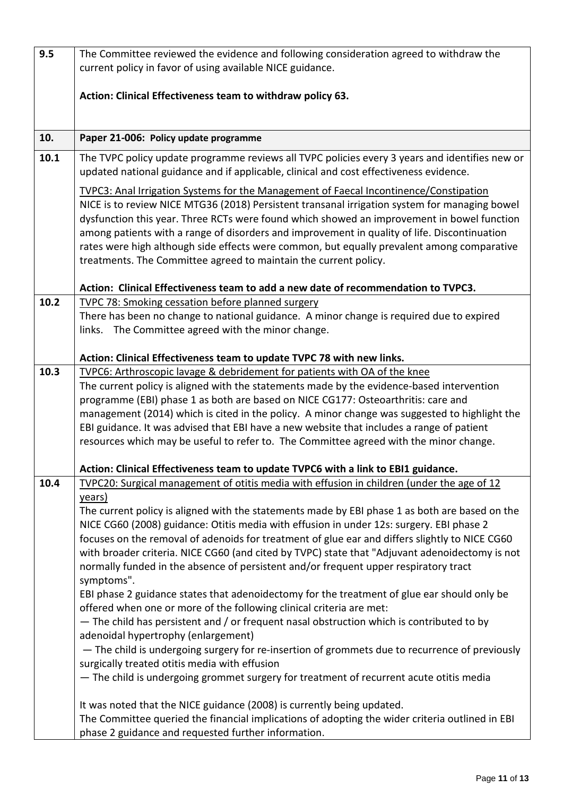| 9.5  | The Committee reviewed the evidence and following consideration agreed to withdraw the                                                                                                 |
|------|----------------------------------------------------------------------------------------------------------------------------------------------------------------------------------------|
|      | current policy in favor of using available NICE guidance.                                                                                                                              |
|      |                                                                                                                                                                                        |
|      | Action: Clinical Effectiveness team to withdraw policy 63.                                                                                                                             |
|      |                                                                                                                                                                                        |
| 10.  | Paper 21-006: Policy update programme                                                                                                                                                  |
| 10.1 | The TVPC policy update programme reviews all TVPC policies every 3 years and identifies new or                                                                                         |
|      | updated national guidance and if applicable, clinical and cost effectiveness evidence.                                                                                                 |
|      |                                                                                                                                                                                        |
|      | TVPC3: Anal Irrigation Systems for the Management of Faecal Incontinence/Constipation<br>NICE is to review NICE MTG36 (2018) Persistent transanal irrigation system for managing bowel |
|      | dysfunction this year. Three RCTs were found which showed an improvement in bowel function                                                                                             |
|      | among patients with a range of disorders and improvement in quality of life. Discontinuation                                                                                           |
|      | rates were high although side effects were common, but equally prevalent among comparative                                                                                             |
|      | treatments. The Committee agreed to maintain the current policy.                                                                                                                       |
|      |                                                                                                                                                                                        |
|      | Action: Clinical Effectiveness team to add a new date of recommendation to TVPC3.                                                                                                      |
| 10.2 | <b>TVPC 78: Smoking cessation before planned surgery</b>                                                                                                                               |
|      | There has been no change to national guidance. A minor change is required due to expired                                                                                               |
|      | links. The Committee agreed with the minor change.                                                                                                                                     |
|      |                                                                                                                                                                                        |
|      | Action: Clinical Effectiveness team to update TVPC 78 with new links.                                                                                                                  |
| 10.3 | TVPC6: Arthroscopic lavage & debridement for patients with OA of the knee                                                                                                              |
|      | The current policy is aligned with the statements made by the evidence-based intervention                                                                                              |
|      | programme (EBI) phase 1 as both are based on NICE CG177: Osteoarthritis: care and<br>management (2014) which is cited in the policy. A minor change was suggested to highlight the     |
|      | EBI guidance. It was advised that EBI have a new website that includes a range of patient                                                                                              |
|      | resources which may be useful to refer to. The Committee agreed with the minor change.                                                                                                 |
|      |                                                                                                                                                                                        |
|      | Action: Clinical Effectiveness team to update TVPC6 with a link to EBI1 guidance.                                                                                                      |
| 10.4 | TVPC20: Surgical management of otitis media with effusion in children (under the age of 12                                                                                             |
|      | years)                                                                                                                                                                                 |
|      | The current policy is aligned with the statements made by EBI phase 1 as both are based on the                                                                                         |
|      | NICE CG60 (2008) guidance: Otitis media with effusion in under 12s: surgery. EBI phase 2                                                                                               |
|      | focuses on the removal of adenoids for treatment of glue ear and differs slightly to NICE CG60                                                                                         |
|      | with broader criteria. NICE CG60 (and cited by TVPC) state that "Adjuvant adenoidectomy is not                                                                                         |
|      | normally funded in the absence of persistent and/or frequent upper respiratory tract                                                                                                   |
|      | symptoms".<br>EBI phase 2 guidance states that adenoidectomy for the treatment of glue ear should only be                                                                              |
|      | offered when one or more of the following clinical criteria are met:                                                                                                                   |
|      | - The child has persistent and / or frequent nasal obstruction which is contributed to by                                                                                              |
|      | adenoidal hypertrophy (enlargement)                                                                                                                                                    |
|      | - The child is undergoing surgery for re-insertion of grommets due to recurrence of previously                                                                                         |
|      | surgically treated otitis media with effusion                                                                                                                                          |
|      | - The child is undergoing grommet surgery for treatment of recurrent acute otitis media                                                                                                |
|      |                                                                                                                                                                                        |
|      | It was noted that the NICE guidance (2008) is currently being updated.                                                                                                                 |
|      | The Committee queried the financial implications of adopting the wider criteria outlined in EBI                                                                                        |
|      | phase 2 guidance and requested further information.                                                                                                                                    |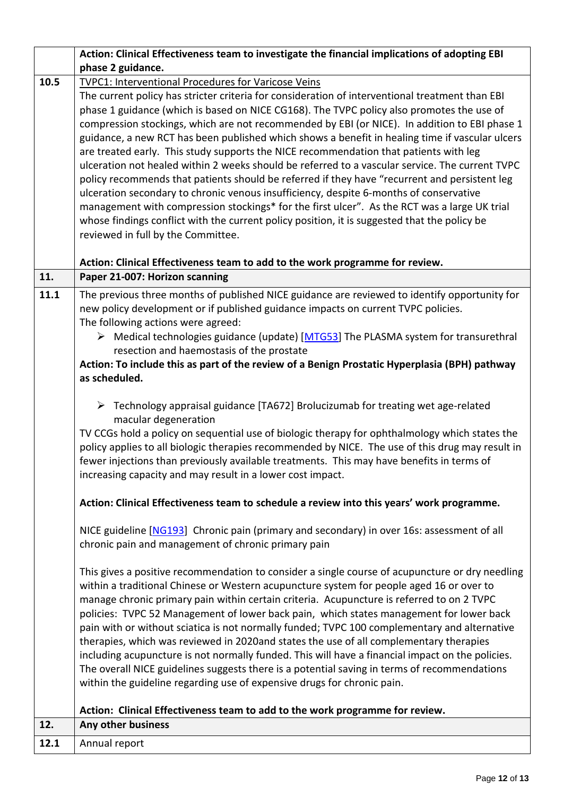|      | Action: Clinical Effectiveness team to investigate the financial implications of adopting EBI                                                                                               |
|------|---------------------------------------------------------------------------------------------------------------------------------------------------------------------------------------------|
|      | phase 2 guidance.                                                                                                                                                                           |
| 10.5 | TVPC1: Interventional Procedures for Varicose Veins                                                                                                                                         |
|      | The current policy has stricter criteria for consideration of interventional treatment than EBI                                                                                             |
|      | phase 1 guidance (which is based on NICE CG168). The TVPC policy also promotes the use of                                                                                                   |
|      | compression stockings, which are not recommended by EBI (or NICE). In addition to EBI phase 1                                                                                               |
|      | guidance, a new RCT has been published which shows a benefit in healing time if vascular ulcers                                                                                             |
|      | are treated early. This study supports the NICE recommendation that patients with leg                                                                                                       |
|      | ulceration not healed within 2 weeks should be referred to a vascular service. The current TVPC                                                                                             |
|      | policy recommends that patients should be referred if they have "recurrent and persistent leg                                                                                               |
|      | ulceration secondary to chronic venous insufficiency, despite 6-months of conservative<br>management with compression stockings* for the first ulcer". As the RCT was a large UK trial      |
|      | whose findings conflict with the current policy position, it is suggested that the policy be                                                                                                |
|      | reviewed in full by the Committee.                                                                                                                                                          |
|      |                                                                                                                                                                                             |
|      | Action: Clinical Effectiveness team to add to the work programme for review.                                                                                                                |
| 11.  | Paper 21-007: Horizon scanning                                                                                                                                                              |
| 11.1 | The previous three months of published NICE guidance are reviewed to identify opportunity for                                                                                               |
|      | new policy development or if published guidance impacts on current TVPC policies.                                                                                                           |
|      | The following actions were agreed:                                                                                                                                                          |
|      | > Medical technologies guidance (update) [MTG53] The PLASMA system for transurethral                                                                                                        |
|      | resection and haemostasis of the prostate                                                                                                                                                   |
|      | Action: To include this as part of the review of a Benign Prostatic Hyperplasia (BPH) pathway                                                                                               |
|      | as scheduled.                                                                                                                                                                               |
|      |                                                                                                                                                                                             |
|      | $\triangleright$ Technology appraisal guidance [TA672] Brolucizumab for treating wet age-related                                                                                            |
|      | macular degeneration                                                                                                                                                                        |
|      | TV CCGs hold a policy on sequential use of biologic therapy for ophthalmology which states the                                                                                              |
|      | policy applies to all biologic therapies recommended by NICE. The use of this drug may result in                                                                                            |
|      | fewer injections than previously available treatments. This may have benefits in terms of                                                                                                   |
|      | increasing capacity and may result in a lower cost impact.                                                                                                                                  |
|      | Action: Clinical Effectiveness team to schedule a review into this years' work programme.                                                                                                   |
|      |                                                                                                                                                                                             |
|      | NICE guideline [NG193] Chronic pain (primary and secondary) in over 16s: assessment of all                                                                                                  |
|      | chronic pain and management of chronic primary pain                                                                                                                                         |
|      |                                                                                                                                                                                             |
|      | This gives a positive recommendation to consider a single course of acupuncture or dry needling<br>within a traditional Chinese or Western acupuncture system for people aged 16 or over to |
|      | manage chronic primary pain within certain criteria. Acupuncture is referred to on 2 TVPC                                                                                                   |
|      | policies: TVPC 52 Management of lower back pain, which states management for lower back                                                                                                     |
|      | pain with or without sciatica is not normally funded; TVPC 100 complementary and alternative                                                                                                |
|      | therapies, which was reviewed in 2020and states the use of all complementary therapies                                                                                                      |
|      | including acupuncture is not normally funded. This will have a financial impact on the policies.                                                                                            |
|      | The overall NICE guidelines suggests there is a potential saving in terms of recommendations                                                                                                |
|      | within the guideline regarding use of expensive drugs for chronic pain.                                                                                                                     |
|      |                                                                                                                                                                                             |
|      | Action: Clinical Effectiveness team to add to the work programme for review.                                                                                                                |
| 12.  | Any other business                                                                                                                                                                          |
| 12.1 | Annual report                                                                                                                                                                               |